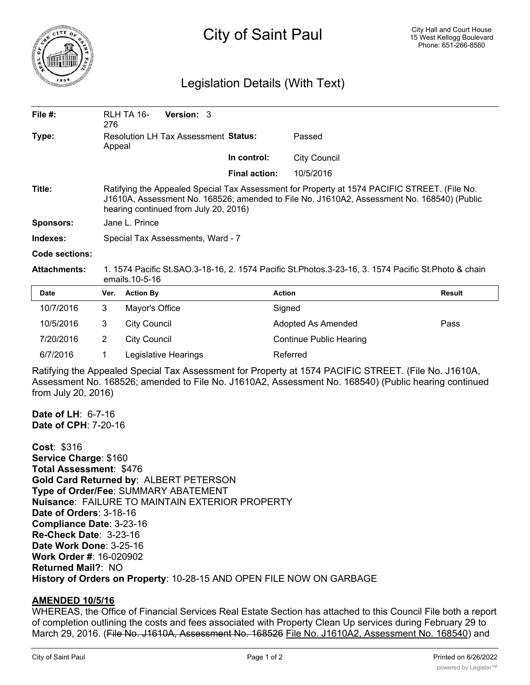

## City of Saint Paul

## Legislation Details (With Text)

| File $#$ :       | RLH TA 16-<br>276                                                                                                                                                                                                                   | <b>Version: 3</b>                 |                      |                     |  |  |
|------------------|-------------------------------------------------------------------------------------------------------------------------------------------------------------------------------------------------------------------------------------|-----------------------------------|----------------------|---------------------|--|--|
| Type:            | <b>Resolution LH Tax Assessment Status:</b><br>Appeal                                                                                                                                                                               |                                   |                      | Passed              |  |  |
|                  |                                                                                                                                                                                                                                     |                                   | In control:          | <b>City Council</b> |  |  |
|                  |                                                                                                                                                                                                                                     |                                   | <b>Final action:</b> | 10/5/2016           |  |  |
| Title:           | Ratifying the Appealed Special Tax Assessment for Property at 1574 PACIFIC STREET. (File No.<br>J1610A, Assessment No. 168526; amended to File No. J1610A2, Assessment No. 168540) (Public<br>hearing continued from July 20, 2016) |                                   |                      |                     |  |  |
| <b>Sponsors:</b> | Jane L. Prince                                                                                                                                                                                                                      |                                   |                      |                     |  |  |
| Indexes:         |                                                                                                                                                                                                                                     | Special Tax Assessments, Ward - 7 |                      |                     |  |  |
| Code sections:   |                                                                                                                                                                                                                                     |                                   |                      |                     |  |  |

**Attachments:** 1. 1574 Pacific St.SAO.3-18-16, 2. 1574 Pacific St.Photos.3-23-16, 3. 1574 Pacific St.Photo & chain emails.10-5-16

| <b>Date</b> | Ver. | <b>Action By</b>     | <b>Action</b>                  | <b>Result</b> |
|-------------|------|----------------------|--------------------------------|---------------|
| 10/7/2016   | 3    | Mayor's Office       | Signed                         |               |
| 10/5/2016   | 3    | City Council         | Adopted As Amended             | Pass          |
| 7/20/2016   | 2    | City Council         | <b>Continue Public Hearing</b> |               |
| 6/7/2016    |      | Legislative Hearings | Referred                       |               |

Ratifying the Appealed Special Tax Assessment for Property at 1574 PACIFIC STREET. (File No. J1610A, Assessment No. 168526; amended to File No. J1610A2, Assessment No. 168540) (Public hearing continued from July 20, 2016)

**Date of LH**: 6-7-16 **Date of CPH**: 7-20-16

**Cost**: \$316 **Service Charge**: \$160 **Total Assessment**: \$476 **Gold Card Returned by**: ALBERT PETERSON **Type of Order/Fee**: SUMMARY ABATEMENT **Nuisance**: FAILURE TO MAINTAIN EXTERIOR PROPERTY **Date of Orders**: 3-18-16 **Compliance Date**: 3-23-16 **Re-Check Date**: 3-23-16 **Date Work Done**: 3-25-16 **Work Order #**: 16-020902 **Returned Mail?**: NO **History of Orders on Property**: 10-28-15 AND OPEN FILE NOW ON GARBAGE

## **AMENDED 10/5/16**

WHEREAS, the Office of Financial Services Real Estate Section has attached to this Council File both a report of completion outlining the costs and fees associated with Property Clean Up services during February 29 to March 29, 2016. (File No. J1610A, Assessment No. 168526 File No. J1610A2, Assessment No. 168540) and